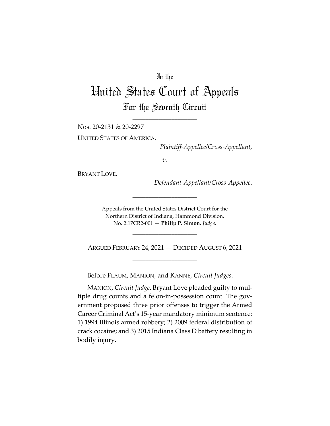## In the

# United States Court of Appeals For the Seventh Circuit

\_\_\_\_\_\_\_\_\_\_\_\_\_\_\_\_\_\_\_\_

Nos. 20-2131 & 20-2297

UNITED STATES OF AMERICA,

*Plaintiff-Appellee/Cross-Appellant*,

*v.*

BRYANT LOVE,

*Defendant-Appellant/Cross-Appellee*.

Appeals from the United States District Court for the Northern District of Indiana, Hammond Division. No. 2:17CR2-001 — **Philip P. Simon**, *Judge*.

\_\_\_\_\_\_\_\_\_\_\_\_\_\_\_\_\_\_\_\_

\_\_\_\_\_\_\_\_\_\_\_\_\_\_\_\_\_\_\_\_

ARGUED FEBRUARY 24, 2021 — DECIDED AUGUST 6, 2021 \_\_\_\_\_\_\_\_\_\_\_\_\_\_\_\_\_\_\_\_

Before FLAUM, MANION, and KANNE, *Circuit Judges*.

MANION, *Circuit Judge*. Bryant Love pleaded guilty to multiple drug counts and a felon-in-possession count. The government proposed three prior offenses to trigger the Armed Career Criminal Act's 15-year mandatory minimum sentence: 1) 1994 Illinois armed robbery; 2) 2009 federal distribution of crack cocaine; and 3) 2015 Indiana Class D battery resulting in bodily injury.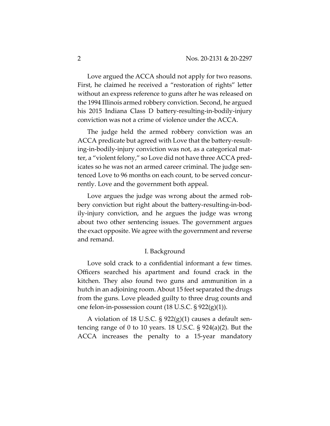Love argued the ACCA should not apply for two reasons. First, he claimed he received a "restoration of rights" letter without an express reference to guns after he was released on the 1994 Illinois armed robbery conviction. Second, he argued his 2015 Indiana Class D battery-resulting-in-bodily-injury conviction was not a crime of violence under the ACCA.

The judge held the armed robbery conviction was an ACCA predicate but agreed with Love that the battery-resulting-in-bodily-injury conviction was not, as a categorical matter, a "violent felony," so Love did not have three ACCA predicates so he was not an armed career criminal. The judge sentenced Love to 96 months on each count, to be served concurrently. Love and the government both appeal.

Love argues the judge was wrong about the armed robbery conviction but right about the battery-resulting-in-bodily-injury conviction, and he argues the judge was wrong about two other sentencing issues. The government argues the exact opposite. We agree with the government and reverse and remand.

#### I. Background

Love sold crack to a confidential informant a few times. Officers searched his apartment and found crack in the kitchen. They also found two guns and ammunition in a hutch in an adjoining room. About 15 feet separated the drugs from the guns. Love pleaded guilty to three drug counts and one felon-in-possession count (18 U.S.C. § 922(g)(1)).

A violation of 18 U.S.C. § 922(g)(1) causes a default sentencing range of 0 to 10 years. 18 U.S.C. § 924(a)(2). But the ACCA increases the penalty to a 15-year mandatory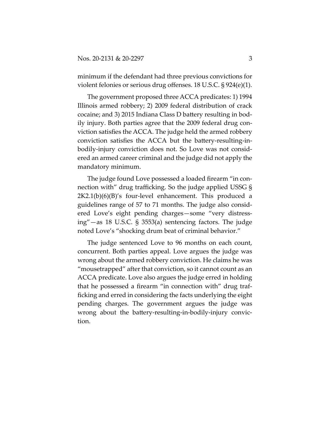minimum if the defendant had three previous convictions for violent felonies or serious drug offenses. 18 U.S.C. § 924(e)(1).

The government proposed three ACCA predicates: 1) 1994 Illinois armed robbery; 2) 2009 federal distribution of crack cocaine; and 3) 2015 Indiana Class D battery resulting in bodily injury. Both parties agree that the 2009 federal drug conviction satisfies the ACCA. The judge held the armed robbery conviction satisfies the ACCA but the battery-resulting-inbodily-injury conviction does not. So Love was not considered an armed career criminal and the judge did not apply the mandatory minimum.

The judge found Love possessed a loaded firearm "in connection with" drug trafficking. So the judge applied USSG § 2K2.1(b)(6)(B)'s four-level enhancement. This produced a guidelines range of 57 to 71 months. The judge also considered Love's eight pending charges—some "very distressing"—as 18 U.S.C. § 3553(a) sentencing factors. The judge noted Love's "shocking drum beat of criminal behavior."

The judge sentenced Love to 96 months on each count, concurrent. Both parties appeal. Love argues the judge was wrong about the armed robbery conviction. He claims he was "mousetrapped" after that conviction, so it cannot count as an ACCA predicate. Love also argues the judge erred in holding that he possessed a firearm "in connection with" drug trafficking and erred in considering the facts underlying the eight pending charges. The government argues the judge was wrong about the battery-resulting-in-bodily-injury conviction.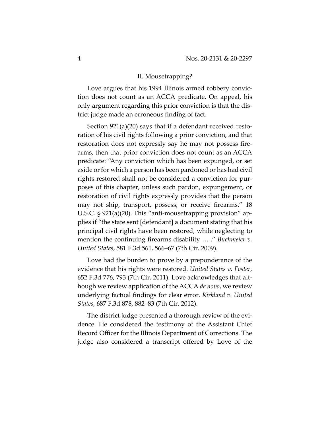### II. Mousetrapping?

Love argues that his 1994 Illinois armed robbery conviction does not count as an ACCA predicate. On appeal, his only argument regarding this prior conviction is that the district judge made an erroneous finding of fact.

Section 921(a)(20) says that if a defendant received restoration of his civil rights following a prior conviction, and that restoration does not expressly say he may not possess firearms, then that prior conviction does not count as an ACCA predicate: "Any conviction which has been expunged, or set aside or for which a person has been pardoned or has had civil rights restored shall not be considered a conviction for purposes of this chapter, unless such pardon, expungement, or restoration of civil rights expressly provides that the person may not ship, transport, possess, or receive firearms." 18 U.S.C. § 921(a)(20). This "anti-mousetrapping provision" applies if "the state sent [defendant] a document stating that his principal civil rights have been restored, while neglecting to mention the continuing firearms disability … ." *Buchmeier v. United States*, 581 F.3d 561, 566–67 (7th Cir. 2009).

Love had the burden to prove by a preponderance of the evidence that his rights were restored. *United States v. Foster*, 652 F.3d 776, 793 (7th Cir. 2011). Love acknowledges that although we review application of the ACCA *de novo*, we review underlying factual findings for clear error. *Kirkland v. United States*, 687 F.3d 878, 882–83 (7th Cir. 2012).

The district judge presented a thorough review of the evidence. He considered the testimony of the Assistant Chief Record Officer for the Illinois Department of Corrections. The judge also considered a transcript offered by Love of the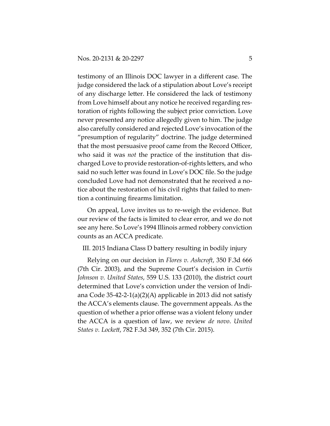testimony of an Illinois DOC lawyer in a different case. The judge considered the lack of a stipulation about Love's receipt of any discharge letter. He considered the lack of testimony from Love himself about any notice he received regarding restoration of rights following the subject prior conviction. Love never presented any notice allegedly given to him. The judge also carefully considered and rejected Love's invocation of the "presumption of regularity" doctrine. The judge determined that the most persuasive proof came from the Record Officer, who said it was *not* the practice of the institution that discharged Love to provide restoration-of-rights letters, and who said no such letter was found in Love's DOC file. So the judge concluded Love had not demonstrated that he received a notice about the restoration of his civil rights that failed to mention a continuing firearms limitation.

On appeal, Love invites us to re-weigh the evidence. But our review of the facts is limited to clear error, and we do not see any here. So Love's 1994 Illinois armed robbery conviction counts as an ACCA predicate.

#### III. 2015 Indiana Class D battery resulting in bodily injury

Relying on our decision in *Flores v. Ashcroft*, 350 F.3d 666 (7th Cir. 2003), and the Supreme Court's decision in *Curtis Johnson v. United States*, 559 U.S. 133 (2010), the district court determined that Love's conviction under the version of Indiana Code 35-42-2-1(a)(2)(A) applicable in 2013 did not satisfy the ACCA's elements clause. The government appeals. As the question of whether a prior offense was a violent felony under the ACCA is a question of law, we review *de novo*. *United States v. Lockett*, 782 F.3d 349, 352 (7th Cir. 2015).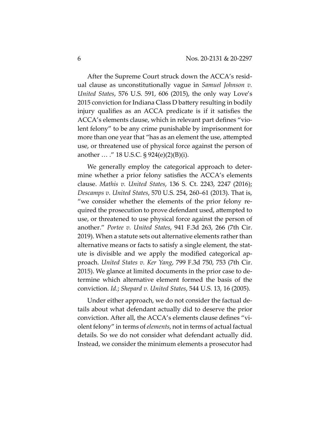After the Supreme Court struck down the ACCA's residual clause as unconstitutionally vague in *Samuel Johnson v. United States*, 576 U.S. 591, 606 (2015), the only way Love's 2015 conviction for Indiana Class D battery resulting in bodily injury qualifies as an ACCA predicate is if it satisfies the ACCA's elements clause, which in relevant part defines "violent felony" to be any crime punishable by imprisonment for more than one year that "has as an element the use, attempted use, or threatened use of physical force against the person of another  $\ldots$  ." 18 U.S.C. § 924(e)(2)(B)(i).

We generally employ the categorical approach to determine whether a prior felony satisfies the ACCA's elements clause. *Mathis v. United States*, 136 S. Ct. 2243, 2247 (2016); *Descamps v. United States*, 570 U.S. 254, 260–61 (2013). That is, "we consider whether the elements of the prior felony required the prosecution to prove defendant used, attempted to use, or threatened to use physical force against the person of another." *Portee v. United States*, 941 F.3d 263, 266 (7th Cir. 2019). When a statute sets out alternative elements rather than alternative means or facts to satisfy a single element, the statute is divisible and we apply the modified categorical approach. *United States v. Ker Yang*, 799 F.3d 750, 753 (7th Cir. 2015). We glance at limited documents in the prior case to determine which alternative element formed the basis of the conviction. *Id.*; *Shepard v. United States*, 544 U.S. 13, 16 (2005).

Under either approach, we do not consider the factual details about what defendant actually did to deserve the prior conviction. After all, the ACCA's elements clause defines "violent felony" in terms of *elements*, not in terms of actual factual details. So we do not consider what defendant actually did. Instead, we consider the minimum elements a prosecutor had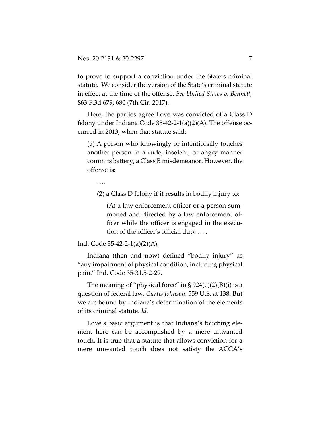to prove to support a conviction under the State's criminal statute. We consider the version of the State's criminal statute in effect at the time of the offense. *See United States v. Bennett*, 863 F.3d 679, 680 (7th Cir. 2017).

Here, the parties agree Love was convicted of a Class D felony under Indiana Code 35-42-2-1(a)(2)(A). The offense occurred in 2013, when that statute said:

(a) A person who knowingly or intentionally touches another person in a rude, insolent, or angry manner commits battery, a Class B misdemeanor. However, the offense is:

….

(2) a Class D felony if it results in bodily injury to:

(A) a law enforcement officer or a person summoned and directed by a law enforcement officer while the officer is engaged in the execution of the officer's official duty … .

Ind. Code 35-42-2-1(a)(2)(A).

Indiana (then and now) defined "bodily injury" as "any impairment of physical condition, including physical pain." Ind. Code 35-31.5-2-29.

The meaning of "physical force" in  $\S 924(e)(2)(B)(i)$  is a question of federal law. *Curtis Johnson*, 559 U.S. at 138. But we are bound by Indiana's determination of the elements of its criminal statute. *Id.*

Love's basic argument is that Indiana's touching element here can be accomplished by a mere unwanted touch. It is true that a statute that allows conviction for a mere unwanted touch does not satisfy the ACCA's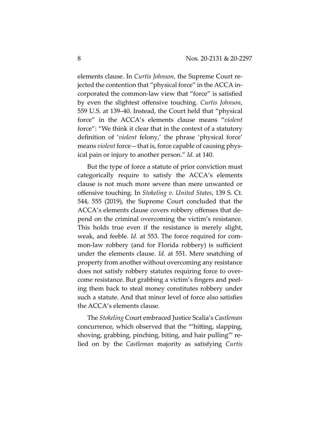elements clause. In *Curtis Johnson*, the Supreme Court rejected the contention that "physical force" in the ACCA incorporated the common-law view that "force" is satisfied by even the slightest offensive touching. *Curtis Johnson*, 559 U.S. at 139–40. Instead, the Court held that "physical force" in the ACCA's elements clause means "*violent* force": "We think it clear that in the context of a statutory definition of '*violent* felony,' the phrase 'physical force' means *violent* force—that is, force capable of causing physical pain or injury to another person." *Id.* at 140.

But the type of force a statute of prior conviction must categorically require to satisfy the ACCA's elements clause is not much more severe than mere unwanted or offensive touching. In *Stokeling v. United States*, 139 S. Ct. 544, 555 (2019), the Supreme Court concluded that the ACCA's elements clause covers robbery offenses that depend on the criminal overcoming the victim's resistance. This holds true even if the resistance is merely slight, weak, and feeble. *Id.* at 553. The force required for common-law robbery (and for Florida robbery) is sufficient under the elements clause. *Id.* at 551. Mere snatching of property from another without overcoming any resistance does not satisfy robbery statutes requiring force to overcome resistance. But grabbing a victim's fingers and peeling them back to steal money constitutes robbery under such a statute. And that minor level of force also satisfies the ACCA's elements clause.

The *Stokeling* Court embraced Justice Scalia's *Castleman* concurrence, which observed that the "'hitting, slapping, shoving, grabbing, pinching, biting, and hair pulling'" relied on by the *Castleman* majority as satisfying *Curtis*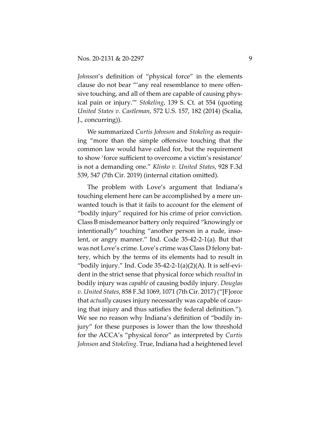*Johnson*'s definition of "physical force" in the elements clause do not bear "'any real resemblance to mere offensive touching, and all of them are capable of causing physical pain or injury.'" *Stokeling*, 139 S. Ct. at 554 (quoting *United States v. Castleman*, 572 U.S. 157, 182 (2014) (Scalia, J., concurring)).

We summarized *Curtis Johnson* and *Stokeling* as requiring "more than the simple offensive touching that the common law would have called for, but the requirement to show 'force sufficient to overcome a victim's resistance' is not a demanding one." *Klinko v. United States*, 928 F.3d 539, 547 (7th Cir. 2019) (internal citation omitted).

The problem with Love's argument that Indiana's touching element here can be accomplished by a mere unwanted touch is that it fails to account for the element of "bodily injury" required for his crime of prior conviction. Class B misdemeanor battery only required "knowingly or intentionally" touching "another person in a rude, insolent, or angry manner." Ind. Code 35-42-2-1(a). But that was not Love's crime. Love's crime was Class D felony battery, which by the terms of its elements had to result in "bodily injury." Ind. Code  $35-42-2-1(a)(2)(A)$ . It is self-evident in the strict sense that physical force which *resulted* in bodily injury was *capable* of causing bodily injury. *Douglas v. United States*, 858 F.3d 1069, 1071 (7th Cir. 2017) ("[F]orce that *actually* causes injury necessarily was capable of causing that injury and thus satisfies the federal definition."). We see no reason why Indiana's definition of "bodily injury" for these purposes is lower than the low threshold for the ACCA's "physical force" as interpreted by *Curtis Johnson* and *Stokeling*. True, Indiana had a heightened level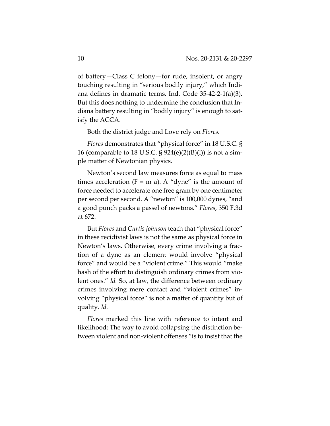of battery—Class C felony—for rude, insolent, or angry touching resulting in "serious bodily injury," which Indiana defines in dramatic terms. Ind. Code 35-42-2-1(a)(3). But this does nothing to undermine the conclusion that Indiana battery resulting in "bodily injury" is enough to satisfy the ACCA.

Both the district judge and Love rely on *Flores*.

*Flores* demonstrates that "physical force" in 18 U.S.C. § 16 (comparable to 18 U.S.C.  $\S 924(e)(2)(B)(i)$ ) is not a simple matter of Newtonian physics.

Newton's second law measures force as equal to mass times acceleration  $(F = m a)$ . A "dyne" is the amount of force needed to accelerate one free gram by one centimeter per second per second. A "newton" is 100,000 dynes, "and a good punch packs a passel of newtons." *Flores*, 350 F.3d at 672.

But *Flores* and *Curtis Johnson* teach that "physical force" in these recidivist laws is not the same as physical force in Newton's laws. Otherwise, every crime involving a fraction of a dyne as an element would involve "physical force" and would be a "violent crime." This would "make hash of the effort to distinguish ordinary crimes from violent ones." *Id.* So, at law, the difference between ordinary crimes involving mere contact and "violent crimes" involving "physical force" is not a matter of quantity but of quality. *Id.*

*Flores* marked this line with reference to intent and likelihood: The way to avoid collapsing the distinction between violent and non-violent offenses "is to insist that the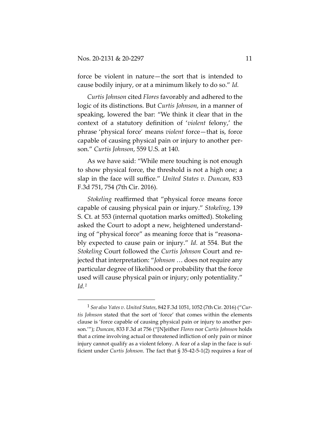force be violent in nature—the sort that is intended to cause bodily injury, or at a minimum likely to do so." *Id.*

*Curtis Johnson* cited *Flores* favorably and adhered to the logic of its distinctions. But *Curtis Johnson*, in a manner of speaking, lowered the bar: "We think it clear that in the context of a statutory definition of '*violent* felony,' the phrase 'physical force' means *violent* force—that is, force capable of causing physical pain or injury to another person." *Curtis Johnson*, 559 U.S. at 140.

As we have said: "While mere touching is not enough to show physical force, the threshold is not a high one; a slap in the face will suffice." *United States v. Duncan*, 833 F.3d 751, 754 (7th Cir. 2016).

*Stokeling* reaffirmed that "physical force means force capable of causing physical pain or injury." *Stokeling*, 139 S. Ct. at 553 (internal quotation marks omitted). Stokeling asked the Court to adopt a new, heightened understanding of "physical force" as meaning force that is "reasonably expected to cause pain or injury." *Id.* at 554. But the *Stokeling* Court followed the *Curtis Johnson* Court and rejected that interpretation: "*Johnson* … does not require any particular degree of likelihood or probability that the force used will cause physical pain or injury; only potentiality." *Id.1*

<sup>1</sup> *See also Yates v. United States*, 842 F.3d 1051, 1052 (7th Cir. 2016) ("*Curtis Johnson* stated that the sort of 'force' that comes within the elements clause is 'force capable of causing physical pain or injury to another person.'"); *Duncan*, 833 F.3d at 756 ("[N]either *Flores* nor *Curtis Johnson* holds that a crime involving actual or threatened infliction of only pain or minor injury cannot qualify as a violent felony. A fear of a slap in the face is sufficient under *Curtis Johnson*. The fact that § 35-42-5-1(2) requires a fear of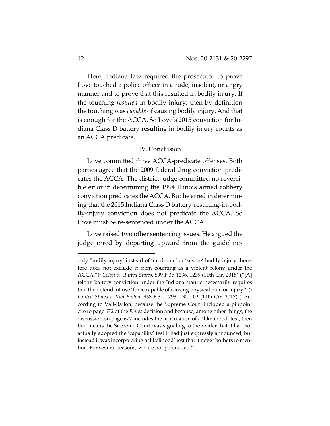Here, Indiana law required the prosecutor to prove Love touched a police officer in a rude, insolent, or angry manner and to prove that this resulted in bodily injury. If the touching *resulted* in bodily injury, then by definition the touching was *capable* of causing bodily injury. And that is enough for the ACCA. So Love's 2015 conviction for Indiana Class D battery resulting in bodily injury counts as an ACCA predicate.

### IV. Conclusion

Love committed three ACCA-predicate offenses. Both parties agree that the 2009 federal drug conviction predicates the ACCA. The district judge committed no reversible error in determining the 1994 Illinois armed robbery conviction predicates the ACCA. But he erred in determining that the 2015 Indiana Class D battery-resulting-in-bodily-injury conviction does not predicate the ACCA. So Love must be re-sentenced under the ACCA.

Love raised two other sentencing issues. He argued the judge erred by departing upward from the guidelines

only 'bodily injury' instead of 'moderate' or 'severe' bodily injury therefore does not exclude it from counting as a violent felony under the ACCA."); *Colon v. United States*, 899 F.3d 1236, 1239 (11th Cir. 2018) ("[A] felony battery conviction under the Indiana statute necessarily requires that the defendant use 'force capable of causing physical pain or injury.'"); *United States v. Vail-Bailon*, 868 F.3d 1293, 1301–02 (11th Cir. 2017) ("According to Vail-Bailon, because the Supreme Court included a pinpoint cite to page 672 of the *Flores* decision and because, among other things, the discussion on page 672 includes the articulation of a 'likelihood' test, then that means the Supreme Court was signaling to the reader that it had not actually adopted the 'capability' test it had just expressly announced, but instead it was incorporating a 'likelihood' test that it never bothers to mention. For several reasons, we are not persuaded.").